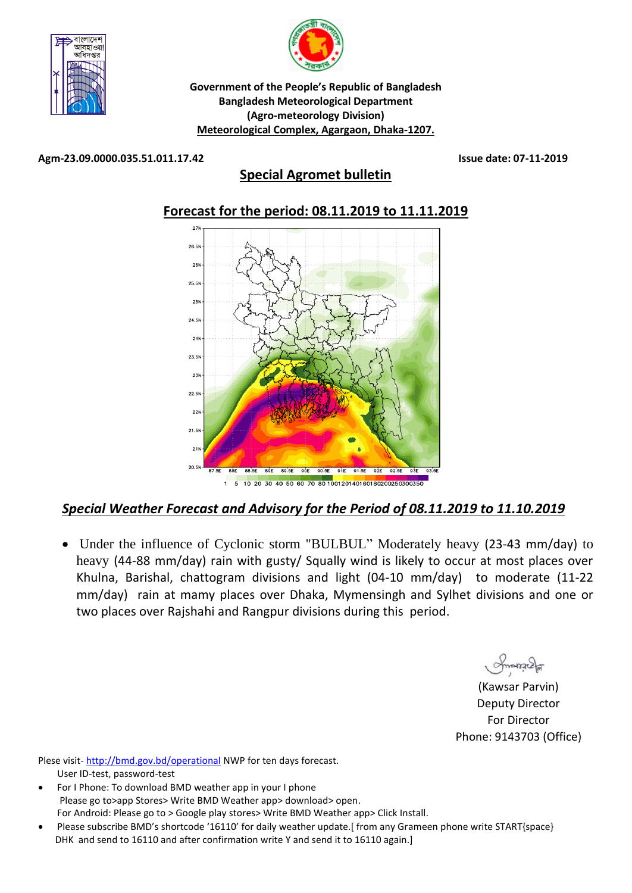



**Government of the People's Republic of Bangladesh Bangladesh Meteorological Department (Agro-meteorology Division) Meteorological Complex, Agargaon, Dhaka-1207.** 

**Agm-23.09.0000.035.51.011.17.42 Issue date: 07-11-2019**

## **Special Agromet bulletin**

**Forecast for the period: 08.11.2019 to 11.11.2019**



1 5 10 20 30 40 50 60 70 80 100120140160180200250300350

## *Special Weather Forecast and Advisory for the Period of 08.11.2019 to 11.10.2019*

• Under the influence of Cyclonic storm "BULBUL" Moderately heavy (23-43 mm/day) to heavy (44-88 mm/day) rain with gusty/ Squally wind is likely to occur at most places over Khulna, Barishal, chattogram divisions and light (04-10 mm/day) to moderate (11-22 mm/day) rain at mamy places over Dhaka, Mymensingh and Sylhet divisions and one or two places over Rajshahi and Rangpur divisions during this period.

Important

(Kawsar Parvin) Deputy Director For Director Phone: 9143703 (Office)

Plese visit- <http://bmd.gov.bd/operational> NWP for ten days forecast.

User ID-test, password-test

- For I Phone: To download BMD weather app in your I phone Please go to>app Stores> Write BMD Weather app> download> open. For Android: Please go to > Google play stores> Write BMD Weather app> Click Install.
- Please subscribe BMD's shortcode '16110' for daily weather update.[ from any Grameen phone write START{space} DHK and send to 16110 and after confirmation write Y and send it to 16110 again.]